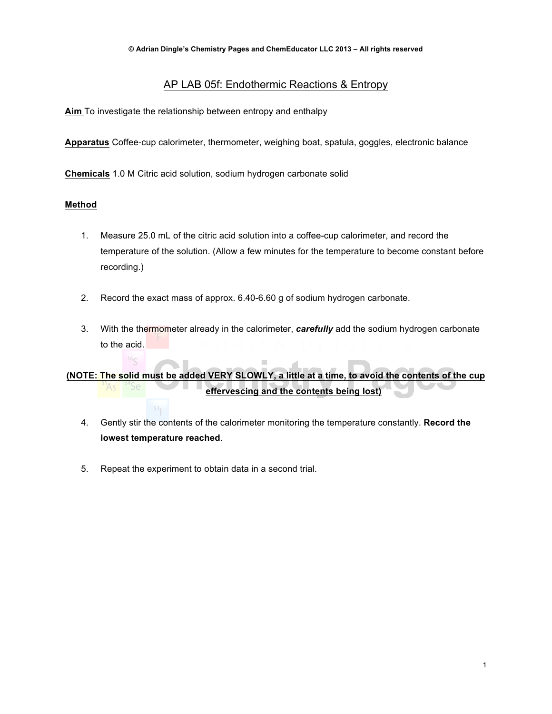## AP LAB 05f: Endothermic Reactions & Entropy

**Aim** To investigate the relationship between entropy and enthalpy

**Apparatus** Coffee-cup calorimeter, thermometer, weighing boat, spatula, goggles, electronic balance

**Chemicals** 1.0 M Citric acid solution, sodium hydrogen carbonate solid

## **Method**

- 1. Measure 25.0 mL of the citric acid solution into a coffee-cup calorimeter, and record the temperature of the solution. (Allow a few minutes for the temperature to become constant before recording.)
- 2. Record the exact mass of approx. 6.40-6.60 g of sodium hydrogen carbonate.
- 3. With the thermometer already in the calorimeter, *carefully* add the sodium hydrogen carbonate to the acid.

**(NOTE: The solid must be added VERY SLOWLY, a little at a time, to avoid the contents of the cup effervescing and the contents being lost)**

- 4. Gently stir the contents of the calorimeter monitoring the temperature constantly. **Record the lowest temperature reached**.
- 5. Repeat the experiment to obtain data in a second trial.

 $53<sub>1</sub>$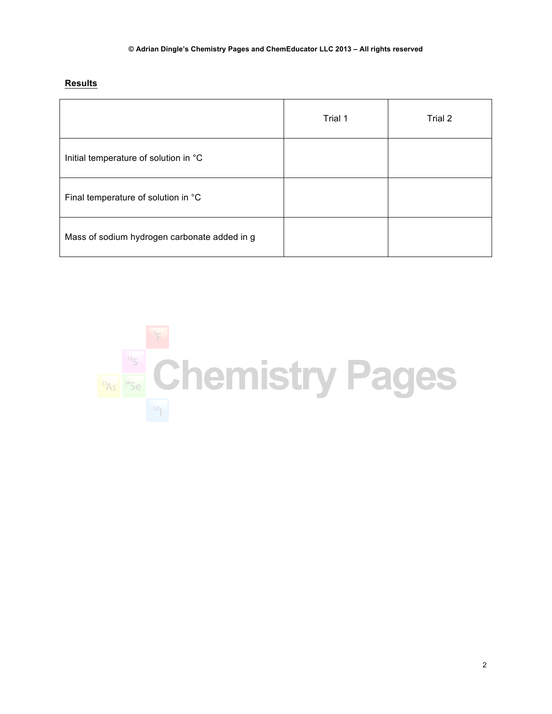**Results**

|                                              | Trial 1 | Trial 2 |
|----------------------------------------------|---------|---------|
| Initial temperature of solution in °C        |         |         |
| Final temperature of solution in °C          |         |         |
| Mass of sodium hydrogen carbonate added in g |         |         |